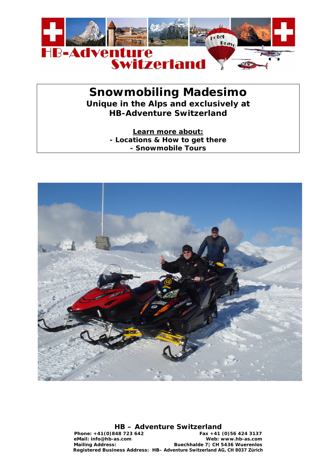

# **Snowmobiling Madesimo**

**Unique in the Alps and exclusively at HB-Adventure Switzerland** 

> **Learn more about: - Locations & How to get there - Snowmobile Tours**



## **HB – Adventure Switzerland**

**Phone: +41(0)848 723 642 Fax +41 (0)56 424 3137 eMail: info@hb-as.com Web: www.hb-as.com Mailing Address: Buechhalde 7| CH 5436 Wuerenlos Registered Business Address: HB– Adventure Switzerland AG, CH 8037 Zürich**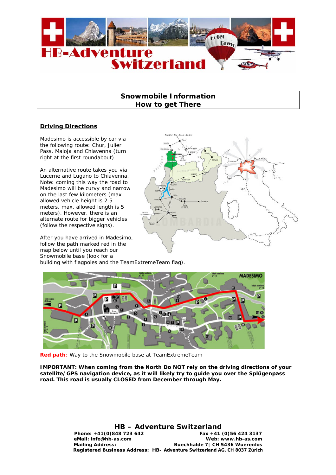

## **Snowmobile Information How to get There**

## **Driving Directions**

Madesimo is accessible by car via the following route: Chur, Julier Pass, Maloja and Chiavenna (turn right at the first roundabout).

An alternative route takes you via Lucerne and Lugano to Chiavenna. Note: coming this way the road to Madesimo will be curvy and narrow on the last few kilometers (max. allowed vehicle height is 2.5 meters, max. allowed length is 5 meters). However, there is an alternate route for bigger vehicles (follow the respective signs).

After you have arrived in Madesimo, follow the path marked red in the map below until you reach our Snowmobile base (look for a



building with flagpoles and the TeamExtremeTeam flag).



**Red path**: Way to the Snowmobile base at TeamExtremeTeam

**IMPORTANT: When coming from the North Do NOT rely on the driving directions of your satellite/GPS navigation device, as it will likely try to guide you over the Splügenpass road. This road is usually CLOSED from December through May.** 

## **HB – Adventure Switzerland**

Phone: +41(0)848 723 642 Fax +41 (0)56 424 3137 **eMail: info@hb-as.com Web: www.hb-as.com Mailing Address: Buechhalde 7| CH 5436 Wuerenlos Registered Business Address: HB– Adventure Switzerland AG, CH 8037 Zürich**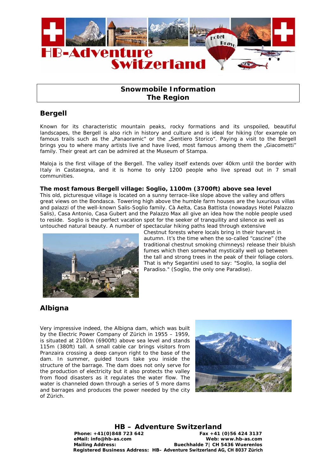

# **Snowmobile Information The Region**

# **Bergell**

Known for its characteristic mountain peaks, rocky formations and its unspoiled, beautiful landscapes, the Bergell is also rich in history and culture and is ideal for hiking (for example on famous trails such as the "Panaoramic" or the "Sentiero Storico". Paying a visit to the Bergell brings you to where many artists live and have lived, most famous among them the "Giacometti" family. Their great art can be admired at the Museum of Stampa.

Maloja is the first village of the Bergell. The valley itself extends over 40km until the border with Italy in Castasegna, and it is home to only 1200 people who live spread out in 7 small communities.

### **The most famous Bergell village: Soglio, 1100m (3700ft) above sea level**

This old, picturesque village is located on a sunny terrace-like slope above the valley and offers great views on the Bondasca. Towering high above the humble farm houses are the luxurious villas and palazzi of the well-known Salis-Soglio family. Cà Aelta, Casa Battista (nowadays Hotel Palazzo Salis), Casa Antonio, Casa Gubert and the Palazzo Max all give an idea how the noble people used to reside. Soglio is the perfect vacation spot for the seeker of tranquility and silence as well as untouched natural beauty. A number of spectacular hiking paths lead through extensive



Chestnut forests where locals bring in their harvest in autumn. It's the time when the so-called "cascine" (the traditional chestnut smoking chimneys) release their bluish fumes which then somewhat mystically well up between the tall and strong trees in the peak of their foliage colors. That is why Segantini used to say: "Soglio, la soglia del Paradiso." (Soglio, the only one Paradise).

# **Albigna**

Very impressive indeed, the Albigna dam, which was built by the Electric Power Company of Zürich in 1955 – 1959, is situated at 2100m (6900ft) above sea level and stands 115m (380ft) tall. A small cable car brings visitors from Pranzaira crossing a deep canyon right to the base of the dam. In summer, guided tours take you inside the structure of the barrage. The dam does not only serve for the production of electricity but it also protects the valley from flood disasters as it regulates the water flow. The water is channeled down through a series of 5 more dams and barrages and produces the power needed by the city of Zürich.



**HB – Adventure Switzerland** 

**Phone: +41(0)848 723 642 Fax +41 (0)56 424 3137 eMail: info@hb-as.com Web: www.hb-as.com Mailing Address: Buechhalde 7| CH 5436 Wuerenlos Registered Business Address: HB– Adventure Switzerland AG, CH 8037 Zürich**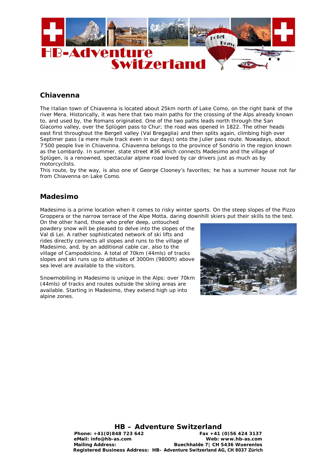

# **Chiavenna**

The Italian town of Chiavenna is located about 25km north of Lake Como, on the right bank of the river Mera. Historically, it was here that two main paths for the crossing of the Alps already known to, and used by, the Romans originated. One of the two paths leads north through the San Giacomo valley, over the Splügen pass to Chur; the road was opened in 1822. The other heads east first throughout the Bergell valley (Val Bregaglia) and then splits again, climbing high over Septimer pass (a mere mule track even in our days) onto the Julier pass route. Nowadays, about 7'500 people live in Chiavenna. Chiavenna belongs to the province of Sondrio in the region known as the Lombardy. In summer, state street #36 which connects Madesimo and the village of Splügen, is a renowned, spectacular alpine road loved by car drivers just as much as by motorcyclists.

This route, by the way, is also one of George Clooney's favorites; he has a summer house not far from Chiavenna on Lake Como.

# **Madesimo**

Madesimo is a prime location when it comes to risky winter sports. On the steep slopes of the Pizzo Groppera or the narrow terrace of the Alpe Motta, daring downhill skiers put their skills to the test.

On the other hand, those who prefer deep, untouched powdery snow will be pleased to delve into the slopes of the Val di Lei. A rather sophisticated network of ski lifts and rides directly connects all slopes and runs to the village of Madesimo, and, by an additional cable car, also to the village of Campodolcino. A total of 70km (44mls) of tracks slopes and ski runs up to altitudes of 3000m (9800ft) above sea level are available to the visitors.

Snowmobiling in Madesimo is unique in the Alps: over 70km (44mls) of tracks and routes outside the skiing areas are available. Starting in Madesimo, they extend high up into alpine zones.



**HB – Adventure Switzerland**